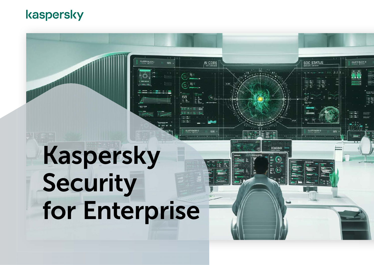### kaspersky

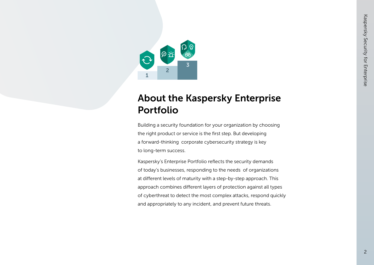

### About the Kaspersky Enterprise Portfolio

Building a security foundation for your organization by choosing the right product or service is the first step. But developing a forward-thinking corporate cybersecurity strategy is key to long-term success.

Kaspersky's Enterprise Portfolio reflects the security demands of today's businesses, responding to the needs of organizations at different levels of maturity with a step-by-step approach. This approach combines different layers of protection against all types of cyberthreat to detect the most complex attacks, respond quickly and appropriately to any incident, and prevent future threats.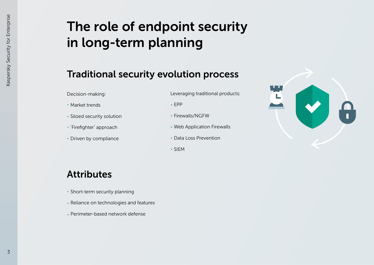### The role of endpoint security in long-term planning

### Traditional security evolution process

Decision-making:

- Market trends
- Siloed security solution
- 'Firefighter' approach
- Driven by compliance

Leveraging traditional products:

- EPP
- Firewalls/NGFW
- Web Application Firewalls
- Data Loss Prevention
- SIEM



### Attributes

- Short-term security planning
- Reliance on technologies and features
- Perimeter-based network defense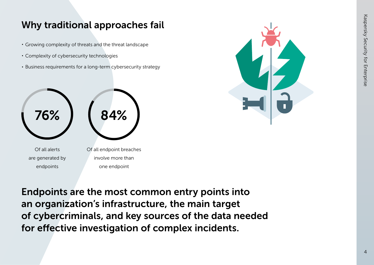### Why traditional approaches fail

- Growing complexity of threats and the threat landscape
- Complexity of cybersecurity technologies
- Business requirements for a long-term cybersecurity strategy





Endpoints are the most common entry points into an organization's infrastructure, the main target of cybercriminals, and key sources of the data needed for effective investigation of complex incidents.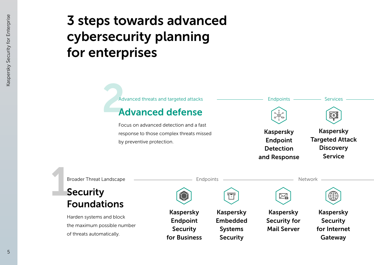### 3 steps towards advanced cybersecurity planning for enterprises

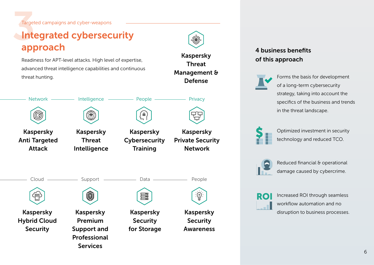Targeted campaigns and cyber-weapons

### Integrated cybersecurity approach

Readiness for APT-level attacks. High level of expertise, advanced threat intelligence capabilities and continuous threat hunting.





**Services** 

Kaspersky **Cybersecurity Training** 

(a)



### 4 business benefits of this approach



Forms the basis for development of a long-term cybersecurity strategy, taking into account the specifics of the business and trends in the threat landscape.



Optimized investment in security technology and reduced TCO.



Reduced financial & operational damage caused by cybercrime.



Increased ROI through seamless workflow automation and no disruption to business processes.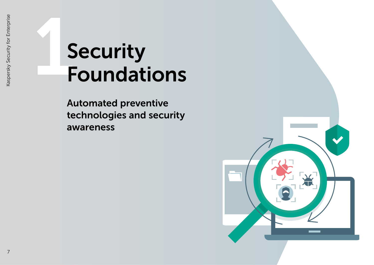# Security Foundations

Automated preventive technologies and security awareness

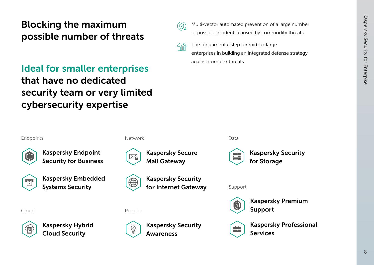### Blocking the maximum possible number of threats

### Ideal for smaller enterprises that have no dedicated security team or very limited cybersecurity expertise



∕nm

Multi-vector automated prevention of a large number of possible incidents caused by commodity threats

The fundamental step for mid-to-large enterprises in building an integrated defense strategy against complex threats

Endpoints Data



Kaspersky Endpoint Security for Business



Kaspersky Embedded Systems Security

Cloud



Kaspersky Hybrid Cloud Security





Kaspersky Security ∰ for Internet Gateway

People



Kaspersky Security Awareness





Support



Kaspersky Premium Support



Kaspersky Professional Services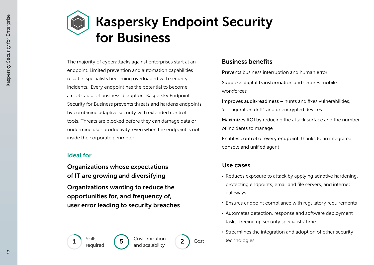### Kaspersky Endpoint Security for Business

The majority of cyberattacks against enterprises start at an endpoint. Limited prevention and automation capabilities result in specialists becoming overloaded with security incidents. Every endpoint has the potential to become a root cause of business disruption; Kaspersky Endpoint Security for Business prevents threats and hardens endpoints by combining adaptive security with extended control tools. Threats are blocked before they can damage data or undermine user productivity, even when the endpoint is not inside the corporate perimeter.

### Ideal for

Organizations whose expectations of IT are growing and diversifying Organizations wanting to reduce the opportunities for, and frequency of, user error leading to security breaches

### Business benefits

Prevents business interruption and human error

Supports digital transformation and secures mobile workforces

Improves audit-readiness – hunts and fixes vulnerabilities, 'configuration drift', and unencrypted devices

Maximizes ROI by reducing the attack surface and the number of incidents to manage

Enables control of every endpoint, thanks to an integrated console and unified agent

### Use cases

- Reduces exposure to attack by applying adaptive hardening, protecting endpoints, email and file servers, and internet gateways
- Ensures endpoint compliance with regulatory requirements
- Automates detection, response and software deployment tasks, freeing up security specialists' time
- Streamlines the integration and adoption of other security technologies



1 5 2 Skills Cost Customization and scalability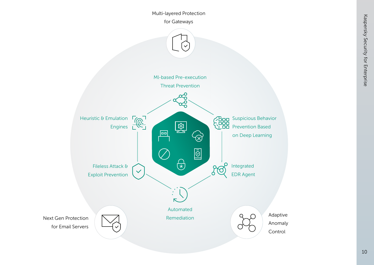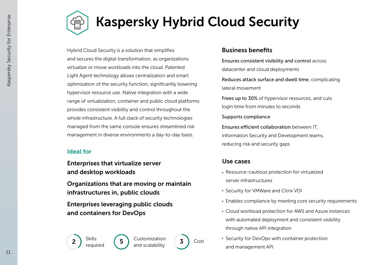



### Kaspersky Hybrid Cloud Security

Hybrid Cloud Security is a solution that simplifies and secures the digital transformation, as organizations virtualize or move workloads into the cloud. Patented Light Agent technology allows centralization and smart optimization of the security function, significantly lowering hypervisor resource use. Native integration with a wide range of virtualization, container and public cloud platforms provides consistent visibility and control throughout the whole infrastructure. A full stack of security technologies managed from the same console ensures streamlined risk management in diverse environments a day-to-day basis.

### Ideal for

Enterprises that virtualize server and desktop workloads

Organizations that are moving or maintain infrastructures in, public clouds

Enterprises leveraging public clouds and containers for DevOps

### Business benefits

Ensures consistent visibility and control across datacenter and cloud deployments

Reduces attack surface and dwell time, complicating lateral movement

Frees up to 30% of hypervisor resources, and cuts login time from minutes to seconds

Supports compliance

Ensures efficient collaboration between IT. Information Security and Development teams, reducing risk and security gaps

### Use cases

- Resource-cautious protection for virtualized server infrastructures
- Security for VMWare and Citrix VDI
- Enables compliance by meeting core security requirements
- Cloud workload protection for AWS and Azure instances with automated deployment and consistent visibility through native API integration
- Security for DevOps with container protection and management API

required



2 5 3 Skills Cost Customization and scalability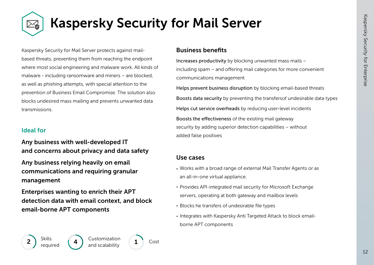## Kaspersky Security for Mail Server

Kaspersky Security for Mail Server protects against mailbased threats, preventing them from reaching the endpoint where most social engineering and malware work. All kinds of malware - including ransomware and miners – are blocked, as well as phishing attempts, with special attention to the prevention of Business Email Compromise. The solution also blocks undesired mass mailing and prevents unwanted data transmissions.

### Ideal for

Any business with well-developed IT and concerns about privacy and data safety

Any business relying heavily on email communications and requiring granular management

Enterprises wanting to enrich their APT detection data with email context, and block email-borne APT components

### Business benefits

Increases productivity by blocking unwanted mass mails – including spam – and offering mail categories for more convenient communications management

Helps prevent business disruption by blocking email-based threats Boosts data security by preventing the transfersof undesirable data types Helps cut service overheads by reducing user-level incidents Boosts the effectiveness of the existing mail gateway security by adding superior detection capabilities – without added false positives

#### Use cases

- Works with a broad range of external Mail Transfer Agents or as an all-in-one virtual appliance.
- Provides API-integrated mail security for Microsoft Exchange servers, operating at both gateway and mailbox levels
- Blocks he transfers of undesirable file types
- Integrates with Kaspersky Anti Targeted Attack to block emailborne APT components

 $2$  Skills  $\left(4\right)$ 

required

Customization and scalability

Cost

1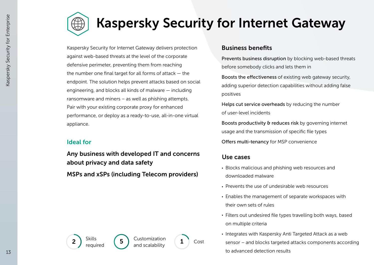

### Kaspersky Security for Internet Gateway

Kaspersky Security for Internet Gateway delivers protection against web-based threats at the level of the corporate defensive perimeter, preventing them from reaching the number one final target for all forms of attack  $-$  the endpoint. The solution helps prevent attacks based on social engineering, and blocks all kinds of malware — including ransomware and miners – as well as phishing attempts. Pair with your existing corporate proxy for enhanced performance, or deploy as a ready-to-use, all-in-one virtual appliance.

### Ideal for

Any business with developed IT and concerns about privacy and data safety MSPs and xSPs (including Telecom providers)

#### Business benefits

Prevents business disruption by blocking web-based threats before somebody clicks and lets them in

Boosts the effectiveness of existing web gateway security, adding superior detection capabilities without adding false positives

Helps cut service overheads by reducing the number of user-level incidents

Boosts productivity & reduces risk by governing internet usage and the transmission of specific file types

Offers multi-tenancy for MSP convenience

### Use cases

- Blocks malicious and phishing web resources and downloaded malware
- Prevents the use of undesirable web resources
- Enables the management of separate workspaces with their own sets of rules
- Filters out undesired file types travelling both ways, based on multiple criteria
- Integrates with Kaspersky Anti Targeted Attack as a web sensor – and blocks targeted attacks components according to advanced detection results





1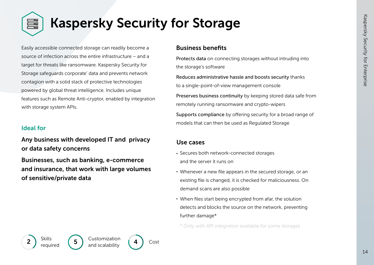

### Kaspersky Security for Storage

Easily accessible connected storage can readily become a source of infection across the entire infrastructure – and a target for threats like ransomware. Kaspersky Security for Storage safeguards corporate' data and prevents network contagion with a solid stack of protective technologies powered by global threat intelligence. Includes unique features such as Remote Anti-cryptor, enabled by integration with storage system APIs.

#### Ideal for

Any business with developed IT and privacy or data safety concerns

Businesses, such as banking, e-commerce and insurance, that work with large volumes of sensitive/private data

#### Business benefits

Protects data on connecting storages without intruding into the storage's software

Reduces administrative hassle and boosts security thanks to a single-point-of-view management console Preserves business continuity by keeping stored data safe from remotely running ransomware and crypto-wipers Supports compliance by offering security for a broad range of models that can then be used as Regulated Storage

### Use cases

- Secures both network-connected storages and the server it runs on
- Whenever a new file appears in the secured storage, or an existing file is changed, it is checked for maliciousness. On demand scans are also possible
- When files start being encrypted from afar, the solution detects and blocks the source on the network, preventing further damage\*

\* Only with API integration available for some storages



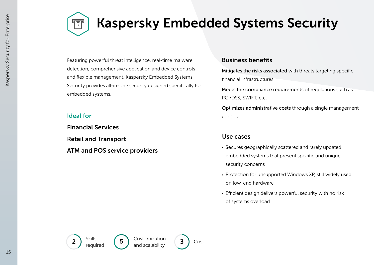

### Kaspersky Embedded Systems Security

Featuring powerful threat intelligence, real-time malware detection, comprehensive application and device controls and flexible management, Kaspersky Embedded Systems Security provides all-in-one security designed specifically for embedded systems.

#### Ideal for

Financial Services Retail and Transport ATM and POS service providers

#### Business benefits

Mitigates the risks associated with threats targeting specific financial infrastructures

Meets the compliance requirements of requiations such as PCI/DSS, SWIFT, etc.

Optimizes administrative costs through a single management console

- Secures geographically scattered and rarely updated embedded systems that present specific and unique security concerns
- Protection for unsupported Windows XP, still widely used on low-end hardware
- Efficient design delivers powerful security with no risk of systems overload



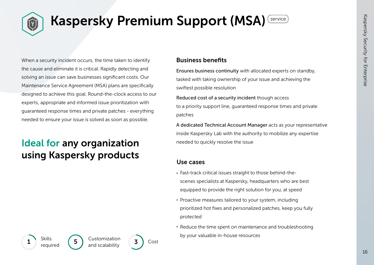

### Kaspersky Premium Support (MSA) Service

When a security incident occurs, the time taken to identify the cause and eliminate it is critical. Rapidly detecting and solving an issue can save businesses significant costs. Our Maintenance Service Agreement (MSA) plans are specifically designed to achieve this goal. Round-the-clock access to our experts, appropriate and informed issue prioritization with guaranteed response times and private patches - everything needed to ensure your issue is solved as soon as possible.

### Ideal for any organization using Kaspersky products

#### Business benefits

Ensures business continuity with allocated experts on standby, tasked with taking ownership of your issue and achieving the swiftest possible resolution

Reduced cost of a security incident though access to a priority support line, guaranteed response times and private patches

A dedicated Technical Account Manager acts as your representative inside Kaspersky Lab with the authority to mobilize any expertise needed to quickly resolve the issue

#### Use cases

- Fast-track critical issues straight to those behind-thescenes specialists at Kaspersky, headquarters who are best equipped to provide the right solution for you, at speed
- Proactive measures tailored to your system, including prioritized hot fixes and personalized patches, keep you fully protected
- Reduce the time spent on maintenance and troubleshooting by your valuable in-house resources

**Skills** required

 $\begin{pmatrix} 1 \end{pmatrix}$   $\begin{pmatrix} 5 \end{pmatrix}$   $\begin{pmatrix} 5 \end{pmatrix}$  castomization  $\begin{pmatrix} 3 \end{pmatrix}$  Cost Customization

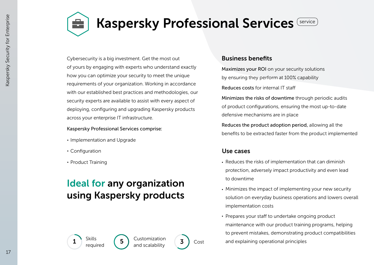

### Kaspersky Professional Services Service

Cybersecurity is a big investment. Get the most out of yours by engaging with experts who understand exactly how you can optimize your security to meet the unique requirements of your organization. Working in accordance with our established best practices and methodologies, our security experts are available to assist with every aspect of deploying, configuring and upgrading Kaspersky products across your enterprise IT infrastructure.

Kaspersky Professional Services comprise:

- Implementation and Upgrade
- Configuration
- Product Training

### Ideal for any organization using Kaspersky products

### Business benefits

Maximizes your ROI on your security solutions by ensuring they perform at 100% capability Reduces costs for internal IT sta

Minimizes the risks of downtime through periodic audits of product configurations, ensuring the most up-to-date defensive mechanisms are in place

Reduces the product adoption period, allowing all the benefits to be extracted faster from the product implemented

### Use cases

- Reduces the risks of implementation that can diminish protection, adversely impact productivity and even lead to downtime
- Minimizes the impact of implementing your new security solution on everyday business operations and lowers overall implementation costs
- Prepares your staff to undertake ongoing product maintenance with our product training programs, helping to prevent mistakes, demonstrating product compatibilities and explaining operational principles

 $\frac{1}{\frac{3}{\pi}} \int_{\text{required}}^{\text{SNIUS}}$   $\frac{5}{\pi} \int_{\text{and scalability}}^{\text{CUSUIII/ZdUOI}}$   $\frac{3}{\pi}$ Skills

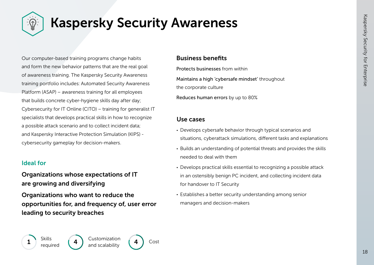

### Kaspersky Security Awareness

Our computer-based training programs change habits and form the new behavior patterns that are the real goal of awareness training. The Kaspersky Security Awareness training portfolio includes: Automated Security Awareness Platform (ASAP) – awareness training for all employees that builds concrete cyber-hygiene skills day after day; Cybersecurity for IT Online (CITO) – training for generalist IT specialists that develops practical skills in how to recognize a possible attack scenario and to collect incident data; and Kaspersky Interactive Protection Simulation (KIPS) cybersecurity gameplay for decision-makers.

### Ideal for

### Organizations whose expectations of IT are growing and diversifying

Organizations who want to reduce the opportunities for, and frequency of, user error leading to security breaches

### Business benefits

Protects businesses from within Maintains a high 'cybersafe mindset' throughout the corporate culture

Reduces human errors by up to 80%

- Develops cybersafe behavior through typical scenarios and situations, cyberattack simulations, different tasks and explanations
- Builds an understanding of potential threats and provides the skills needed to deal with them
- Develops practical skills essential to recognizing a possible attack in an ostensibly benign PC incident, and collecting incident data for handover to IT Security
- Establishes a better security understanding among senior managers and decision-makers

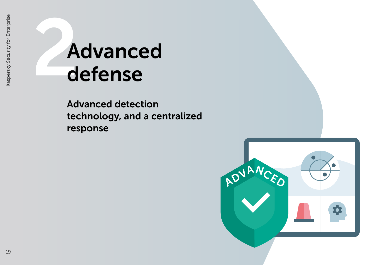# **Advanced** defense

Advanced detection technology, and a centralized response

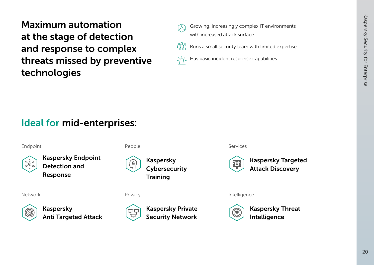Maximum automation at the stage of detection and response to complex threats missed by preventive technologies



Growing, increasingly complex IT environments with increased attack surface



Has basic incident response capabilities

### Ideal for mid-enterprises:

Endpoint People Services



Kaspersky Endpoint Detection and Response



Kaspersky Anti Targeted Attack







Network **Example 2018** Privacy **Privacy** Privacy **Intelligence** 

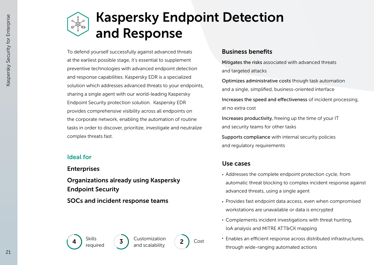### Kaspersky Endpoint Detection and Response

To defend yourself successfully against advanced threats at the earliest possible stage, it's essential to supplement preventive technologies with advanced endpoint detection and response capabilities. Kaspersky EDR is a specialized solution which addresses advanced threats to your endpoints, sharing a single agent with our world-leading Kaspersky Endpoint Security protection solution. Kaspersky EDR provides comprehensive visibility across all endpoints on the corporate network, enabling the automation of routine tasks in order to discover, prioritize, investigate and neutralize complex threats fast.

#### Ideal for

#### Enterprises

Organizations already using Kaspersky Endpoint Security

SOCs and incident response teams

### Business benefits

Mitigates the risks associated with advanced threats and targeted attacks

Optimizes administrative costs though task automation and a single, simplified, business-oriented interface

Increases the speed and effectiveness of incident processing, at no extra cost

Increases productivity, freeing up the time of your IT and security teams for other tasks

Supports compliance with internal security policies and regulatory requirements

#### Use cases

- Addresses the complete endpoint protection cycle, from automatic threat blocking to complex incident response against advanced threats, using a single agent
- Provides fast endpoint data access, even when compromised workstations are unavailable or data is encrypted
- Complements incident investigations with threat hunting, IoA analysis and MITRE ATT&CK mapping
- $\cdot$  Enables an efficient response across distributed infrastructures, through wide-ranging automated actions





and scalability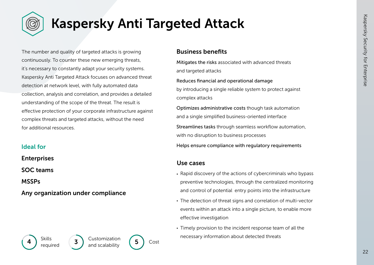

### Kaspersky Anti Targeted Attack

The number and quality of targeted attacks is growing continuously. To counter these new emerging threats, it's necessary to constantly adapt your security systems. Kaspersky Anti Targeted Attack focuses on advanced threat detection at network level, with fully automated data collection, analysis and correlation, and provides a detailed understanding of the scope of the threat. The result is effective protection of your corporate infrastructure against complex threats and targeted attacks, without the need for additional resources.

### Ideal for

Enterprises

SOC teams

MSSPs

Any organization under compliance

### Business benefits

Mitigates the risks associated with advanced threats and targeted attacks

Reduces financial and operational damage by introducing a single reliable system to protect against complex attacks

Optimizes administrative costs though task automation and a single simplified business-oriented interface

Streamlines tasks through seamless workflow automation, with no disruption to business processes

Helps ensure compliance with regulatory requirements

- Rapid discovery of the actions of cybercriminals who bypass preventive technologies, through the centralized monitoring and control of potential entry points into the infrastructure
- The detection of threat signs and correlation of multi-vector events within an attack into a single picture, to enable more effective investigation
- Timely provision to the incident response team of all the necessary information about detected threats



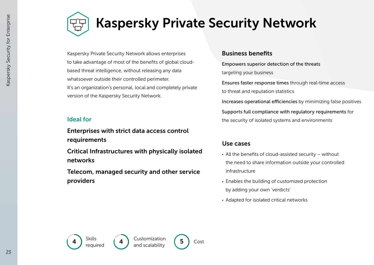### Kaspersky Private Security Network

Kaspersky Private Security Network allows enterprises to take advantage of most of the benefits of global cloudbased threat intelligence, without releasing any data whatsoever outside their controlled perimeter. It's an organization's personal, local and completely private version of the Kaspersky Security Network.

Enterprises with strict data access control requirements

Critical Infrastructures with physically isolated networks

Telecom, managed security and other service providers

#### Business benefits

Empowers superior detection of the threats targeting your business

Ensures faster response times through real-time access to threat and reputation statistics

Increases operational efficiencies by minimizing false positives

Supports full compliance with regulatory requirements for Ideal for the security of isolated systems and environments

- All the benefits of cloud-assisted security without the need to share information outside your controlled infrastructure
- Enables the building of customized protection by adding your own 'verdicts'
- Adapted for isolated critical networks



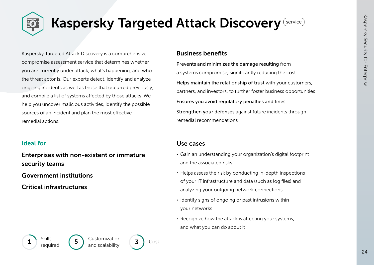

### Kaspersky Targeted Attack Discovery Service

Kaspersky Targeted Attack Discovery is a comprehensive compromise assessment service that determines whether you are currently under attack, what's happening, and who the threat actor is. Our experts detect, identify and analyze ongoing incidents as well as those that occurred previously, and compile a list of systems affected by those attacks. We help you uncover malicious activities, identify the possible sources of an incident and plan the most effective remedial actions.

### Ideal for

Enterprises with non-existent or immature security teams

Government institutions

Critical infrastructures

#### Business benefits

Prevents and minimizes the damage resulting from a systems compromise, significantly reducing the cost Helps maintain the relationship of trust with your customers, partners, and investors, to further foster business opportunities Ensures you avoid regulatory penalties and fines Strengthen your defenses against future incidents through remedial recommendations

- Gain an understanding your organization's digital footprint and the associated risks
- Helps assess the risk by conducting in-depth inspections of your IT infrastructure and data (such as log files) and analyzing your outgoing network connections
- $\cdot$  Identify signs of ongoing or past intrusions within your networks
- $\cdot$  Recognize how the attack is affecting your systems, and what you can do about it

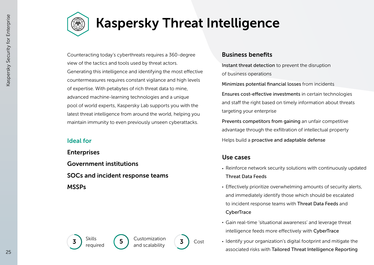

### Kaspersky Threat Intelligence

Counteracting today's cyberthreats requires a 360-degree view of the tactics and tools used by threat actors. Generating this intelligence and identifying the most effective countermeasures requires constant vigilance and high levels of expertise. With petabytes of rich threat data to mine, advanced machine-learning technologies and a unique pool of world experts, Kaspersky Lab supports you with the latest threat intelligence from around the world, helping you maintain immunity to even previously unseen cyberattacks.

Enterprises Government institutions SOCs and incident response teams MSSPs

### Business benefits

Instant threat detection to prevent the disruption of business operations

Minimizes potential financial losses from incidents

Ensures cost-effective investments in certain technologies and staff the right based on timely information about threats targeting your enterprise

Prevents competitors from gaining an unfair competitive advantage through the exfiltration of intellectual property Ideal for **Helps** build a proactive and adaptable defense

### Use cases

- Reinforce network security solutions with continuously updated Threat Data Feeds
- Effectively prioritize overwhelming amounts of security alerts, and immediately identify those which should be escalated to incident response teams with Threat Data Feeds and **CyberTrace**
- Gain real-time 'situational awareness' and leverage threat intelligence feeds more effectively with CyberTrace
- Identify your organization's digital footprint and mitigate the associated risks with Tailored Threat Intelligence Reporting

 $\begin{pmatrix} 3 \end{pmatrix}$  Skills  $\begin{pmatrix} 5 \end{pmatrix}$  Customization  $\begin{pmatrix} 3 \end{pmatrix}$  Cost required



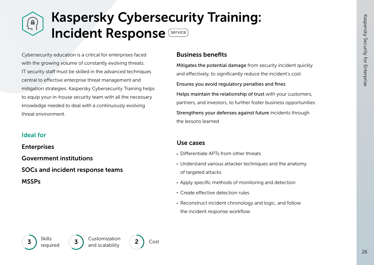### Kaspersky Cybersecurity Training:  $\begin{pmatrix} \mathbf{a} \ \mathbf{r} \end{pmatrix}$ Incident Response **Service**

Cybersecurity education is a critical for enterprises faced with the growing volume of constantly evolving threats. IT security staff must be skilled in the advanced techniques central to effective enterprise threat management and mitigation strategies. Kaspersky Cybersecurity Training helps to equip your in-house security team with all the necessary knowledge needed to deal with a continuously evolving threat environment.

#### Ideal for

**Enterprises** Government institutions SOCs and incident response teams

MSSPs

#### Business benefits

Mitigates the potential damage from security incident quickly and effectively, to significantly reduce the incident's cost Ensures you avoid regulatory penalties and fines Helps maintain the relationship of trust with your customers, partners, and investors, to further foster business opportunities Strengthens your defenses against future incidents through the lessons learned

- $\cdot$  Differentiate APTs from other threats
- Understand various attacker techniques and the anatomy of targeted attacks
- Apply specific methods of monitoring and detection
- Create effective detection rules
- Reconstruct incident chronology and logic, and follow the incident response workflow

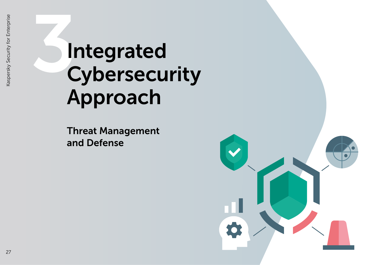# 3Integrated Cybersecurity Approach

Threat Management and Defense

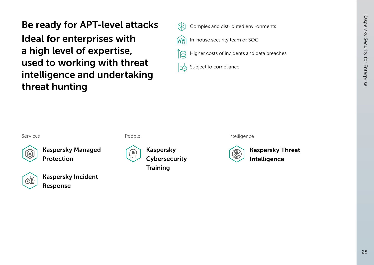Be ready for APT-level attacks

Ideal for enterprises with a high level of expertise, used to working with threat intelligence and undertaking threat hunting



Complex and distributed environments

In-house security team or SOC



Subject to compliance EQ





Kaspersky Managed Protection



Kaspersky Incident Response



People **Intelligence** 

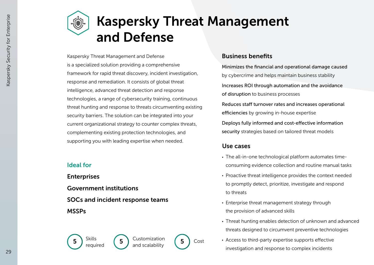### Kaspersky Threat Management and Defense

Kaspersky Threat Management and Defense is a specialized solution providing a comprehensive framework for rapid threat discovery, incident investigation, response and remediation. It consists of global threat intelligence, advanced threat detection and response technologies, a range of cybersecurity training, continuous threat hunting and response to threats circumventing existing security barriers. The solution can be integrated into your current organizational strategy to counter complex threats, complementing existing protection technologies, and supporting you with leading expertise when needed.

 $\begin{pmatrix} 5 \end{pmatrix}$  Skills  $\begin{pmatrix} 5 \end{pmatrix}$  Customization  $\begin{pmatrix} 5 \end{pmatrix}$  Cost

and scalability

### Ideal for

Enterprises Government institutions SOCs and incident response teams **MSSPs** 

required



Minimizes the financial and operational damage caused by cybercrime and helps maintain business stability Increases ROI through automation and the avoidance of disruption to business processes Reduces staff turnover rates and increases operational efficiencies by growing in-house expertise Deploys fully informed and cost-effective information security strategies based on tailored threat models

- The all-in-one technological platform automates timeconsuming evidence collection and routine manual tasks
- Proactive threat intelligence provides the context needed to promptly detect, prioritize, investigate and respond to threats
- Enterprise threat management strategy through the provision of advanced skills
- Threat hunting enables detection of unknown and advanced threats designed to circumvent preventive technologies
- Access to third-party expertise supports effective investigation and response to complex incidents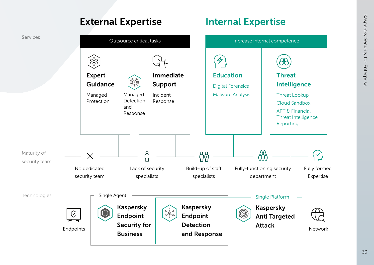

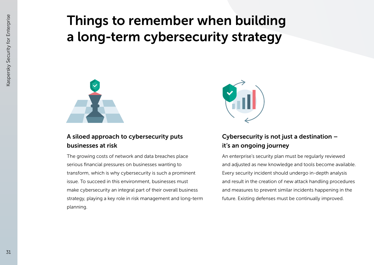### Things to remember when building a long-term cybersecurity strategy



### A siloed approach to cybersecurity puts businesses at risk

The growing costs of network and data breaches place serious financial pressures on businesses wanting to transform, which is why cybersecurity is such a prominent issue. To succeed in this environment, businesses must make cybersecurity an integral part of their overall business strategy, playing a key role in risk management and long-term planning.



### Cybersecurity is not just a destination – it's an ongoing journey

An enterprise's security plan must be regularly reviewed and adjusted as new knowledge and tools become available. Every security incident should undergo in-depth analysis and result in the creation of new attack handling procedures and measures to prevent similar incidents happening in the future. Existing defenses must be continually improved.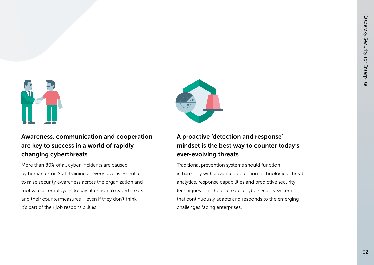



Awareness, communication and cooperation are key to success in a world of rapidly changing cyberthreats

More than 80% of all cyber-incidents are caused by human error. Staff training at every level is essential to raise security awareness across the organization and motivate all employees to pay attention to cyberthreats and their countermeasures – even if they don't think it's part of their job responsibilities.

### A proactive 'detection and response' mindset is the best way to counter today's ever-evolving threats

Traditional prevention systems should function in harmony with advanced detection technologies, threat analytics, response capabilities and predictive security techniques. This helps create a cybersecurity system that continuously adapts and responds to the emerging challenges facing enterprises.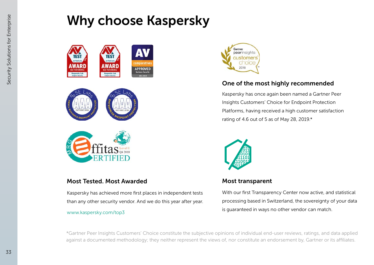### Why choose Kaspersky



### Most Tested. Most Awarded

Kaspersky has achieved more first places in independent tests than any other security vendor. And we do this year after year.

#### www.kaspersky.com/top3



### One of the most highly recommended

Kaspersky has once again been named a Gartner Peer Insights Customers' Choice for Endpoint Protection Platforms, having received a high customer satisfaction rating of 4.6 out of 5 as of May 28, 2019.\*



### Most transparent

With our first Transparency Center now active, and statistical processing based in Switzerland, the sovereignty of your data is guaranteed in ways no other vendor can match.

\*Gartner Peer Insights Customers' Choice constitute the subjective opinions of individual end-user reviews, ratings, and data applied against a documented methodology; they neither represent the views of, nor constitute an endorsement by. Gartner or its affiliates.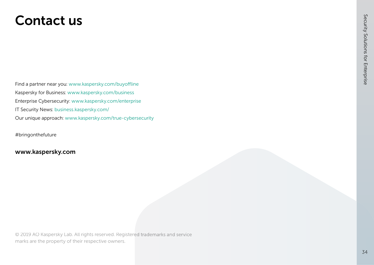### Contact us

Find a partner near you: www.kaspersky.com/buyoffline Kaspersky for Business: www.kaspersky.com/business Enterprise Cybersecurity: www.kaspersky.com/enterprise IT Security News: business.kaspersky.com/ Our unique approach: www.kaspersky.com/true-cybersecurity

#bringonthefuture

### www.kaspersky.com

© 2019 AO Kaspersky Lab. All rights reserved. Registered trademarks and service marks are the property of their respective owners.